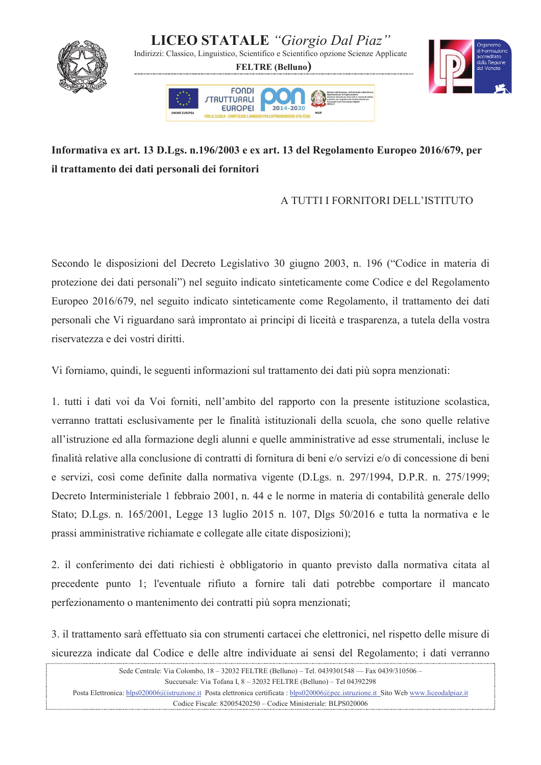

## Informativa ex art. 13 D.Lgs. n.196/2003 e ex art. 13 del Regolamento Europeo 2016/679, per il trattamento dei dati personali dei fornitori

## A TUTTI I FORNITORI DELL'ISTITUTO

Secondo le disposizioni del Decreto Legislativo 30 giugno 2003, n. 196 ("Codice in materia di protezione dei dati personali") nel seguito indicato sinteticamente come Codice e del Regolamento Europeo 2016/679, nel seguito indicato sinteticamente come Regolamento, il trattamento dei dati personali che Vi riguardano sarà improntato ai principi di liceità e trasparenza, a tutela della vostra riservatezza e dei vostri diritti.

Vi forniamo, quindi, le seguenti informazioni sul trattamento dei dati più sopra menzionati:

1. tutti i dati voi da Voi forniti, nell'ambito del rapporto con la presente istituzione scolastica, verranno trattati esclusivamente per le finalità istituzionali della scuola, che sono quelle relative all'istruzione ed alla formazione degli alunni e quelle amministrative ad esse strumentali, incluse le finalità relative alla conclusione di contratti di fornitura di beni e/o servizi e/o di concessione di beni e servizi, così come definite dalla normativa vigente (D.Lgs. n. 297/1994, D.P.R. n. 275/1999; Decreto Interministeriale 1 febbraio 2001, n. 44 e le norme in materia di contabilità generale dello Stato; D.Lgs. n. 165/2001, Legge 13 luglio 2015 n. 107, Dlgs 50/2016 e tutta la normativa e le prassi amministrative richiamate e collegate alle citate disposizioni);

2. il conferimento dei dati richiesti è obbligatorio in quanto previsto dalla normativa citata al precedente punto 1; l'eventuale rifiuto a fornire tali dati potrebbe comportare il mancato perfezionamento o mantenimento dei contratti più sopra menzionati;

3. il trattamento sarà effettuato sia con strumenti cartacei che elettronici, nel rispetto delle misure di sicurezza indicate dal Codice e delle altre individuate ai sensi del Regolamento; i dati verranno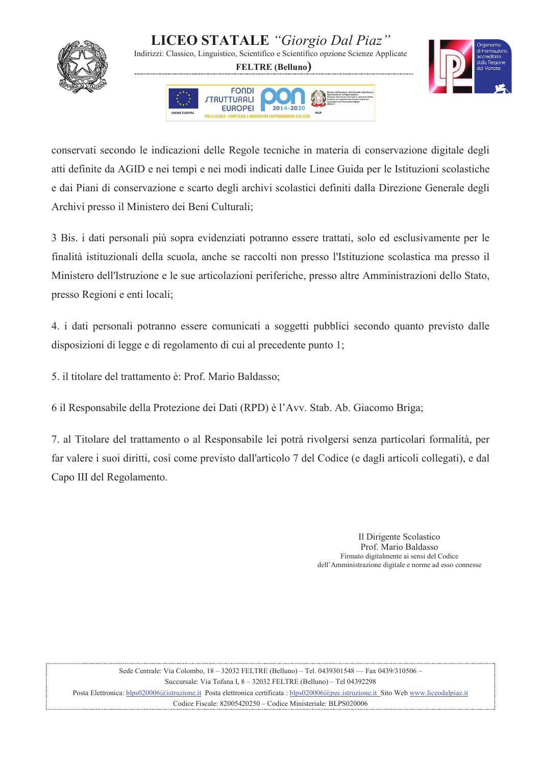

## **LICEO STATALE** "Giorgio Dal Piaz"

Indirizzi: Classico, Linguistico, Scientifico e Scientifico opzione Scienze Applicate

**FELTRE** (Belluno)





conservati secondo le indicazioni delle Regole tecniche in materia di conservazione digitale degli atti definite da AGID e nei tempi e nei modi indicati dalle Linee Guida per le Istituzioni scolastiche e dai Piani di conservazione e scarto degli archivi scolastici definiti dalla Direzione Generale degli Archivi presso il Ministero dei Beni Culturali;

3 Bis. i dati personali più sopra evidenziati potranno essere trattati, solo ed esclusivamente per le finalità istituzionali della scuola, anche se raccolti non presso l'Istituzione scolastica ma presso il Ministero dell'Istruzione e le sue articolazioni periferiche, presso altre Amministrazioni dello Stato, presso Regioni e enti locali;

4. i dati personali potranno essere comunicati a soggetti pubblici secondo quanto previsto dalle disposizioni di legge e di regolamento di cui al precedente punto 1;

5. il titolare del trattamento è: Prof. Mario Baldasso;

6 il Responsabile della Protezione dei Dati (RPD) è l'Avv. Stab. Ab. Giacomo Briga;

7. al Titolare del trattamento o al Responsabile lei potrà rivolgersi senza particolari formalità, per far valere i suoi diritti, così come previsto dall'articolo 7 del Codice (e dagli articoli collegati), e dal Capo III del Regolamento.

> Il Dirigente Scolastico Prof. Mario Baldasso Firmato digitalmente ai sensi del Codice dell'Amministrazione digitale e norme ad esso connesse

Sede Centrale: Via Colombo, 18 - 32032 FELTRE (Belluno) - Tel. 0439301548 - Fax 0439/310506 -Succursale: Via Tofana I, 8 - 32032 FELTRE (Belluno) - Tel 04392298 Posta Elettronica: blps020006@istruzione.it Posta elettronica certificata : blps020006@pec.istruzione.it Sito Web www.liceodalpiaz.it Codice Fiscale: 82005420250 - Codice Ministeriale: BLPS020006